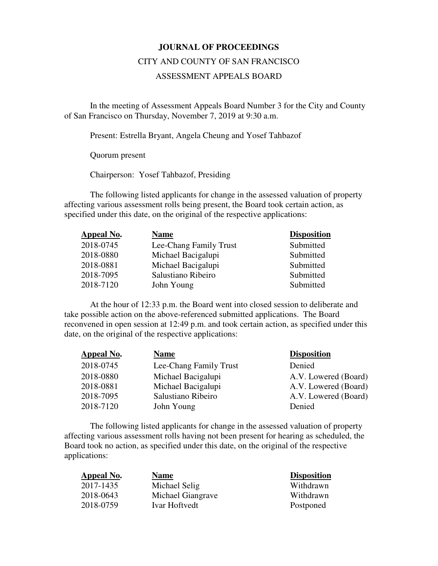## **JOURNAL OF PROCEEDINGS**

## CITY AND COUNTY OF SAN FRANCISCO

## ASSESSMENT APPEALS BOARD

 In the meeting of Assessment Appeals Board Number 3 for the City and County of San Francisco on Thursday, November 7, 2019 at 9:30 a.m.

Present: Estrella Bryant, Angela Cheung and Yosef Tahbazof

Quorum present

Chairperson: Yosef Tahbazof, Presiding

The following listed applicants for change in the assessed valuation of property affecting various assessment rolls being present, the Board took certain action, as specified under this date, on the original of the respective applications:

| Appeal No. | <b>Name</b>            | <b>Disposition</b> |
|------------|------------------------|--------------------|
| 2018-0745  | Lee-Chang Family Trust | Submitted          |
| 2018-0880  | Michael Bacigalupi     | Submitted          |
| 2018-0881  | Michael Bacigalupi     | Submitted          |
| 2018-7095  | Salustiano Ribeiro     | Submitted          |
| 2018-7120  | John Young             | Submitted          |

At the hour of 12:33 p.m. the Board went into closed session to deliberate and take possible action on the above-referenced submitted applications. The Board reconvened in open session at 12:49 p.m. and took certain action, as specified under this date, on the original of the respective applications:

| <b>Appeal No.</b> | <b>Name</b>            | <b>Disposition</b>   |
|-------------------|------------------------|----------------------|
| 2018-0745         | Lee-Chang Family Trust | Denied               |
| 2018-0880         | Michael Bacigalupi     | A.V. Lowered (Board) |
| 2018-0881         | Michael Bacigalupi     | A.V. Lowered (Board) |
| 2018-7095         | Salustiano Ribeiro     | A.V. Lowered (Board) |
| 2018-7120         | John Young             | Denied               |

The following listed applicants for change in the assessed valuation of property affecting various assessment rolls having not been present for hearing as scheduled, the Board took no action, as specified under this date, on the original of the respective applications:

| Appeal No. | <b>Name</b>       | <b>Disposition</b> |
|------------|-------------------|--------------------|
| 2017-1435  | Michael Selig     | Withdrawn          |
| 2018-0643  | Michael Giangrave | Withdrawn          |
| 2018-0759  | Ivar Hoftvedt     | Postponed          |